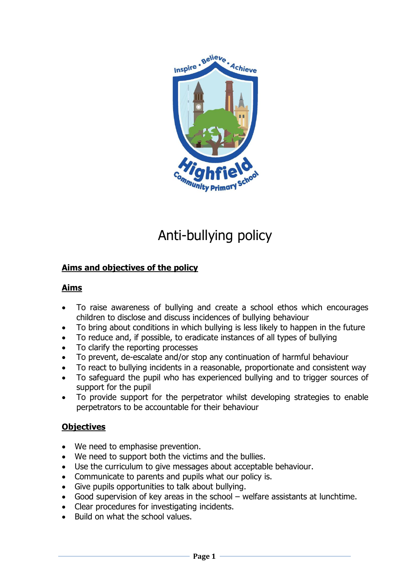

# Anti-bullying policy

## **Aims and objectives of the policy**

## **Aims**

- To raise awareness of bullying and create a school ethos which encourages children to disclose and discuss incidences of bullying behaviour
- To bring about conditions in which bullying is less likely to happen in the future
- To reduce and, if possible, to eradicate instances of all types of bullying
- To clarify the reporting processes
- To prevent, de-escalate and/or stop any continuation of harmful behaviour
- To react to bullying incidents in a reasonable, proportionate and consistent way
- To safeguard the pupil who has experienced bullying and to trigger sources of support for the pupil
- To provide support for the perpetrator whilst developing strategies to enable perpetrators to be accountable for their behaviour

## **Objectives**

- We need to emphasise prevention.
- We need to support both the victims and the bullies.
- Use the curriculum to give messages about acceptable behaviour.
- Communicate to parents and pupils what our policy is.
- Give pupils opportunities to talk about bullying.
- Good supervision of key areas in the school welfare assistants at lunchtime.
- Clear procedures for investigating incidents.
- Build on what the school values.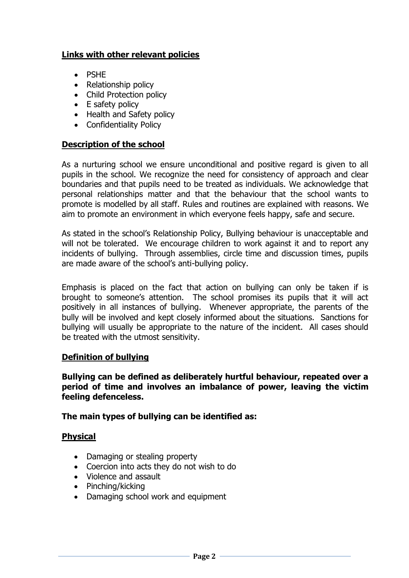## **Links with other relevant policies**

- PSHF
- Relationship policy
- Child Protection policy
- E safety policy
- Health and Safety policy
- Confidentiality Policy

#### **Description of the school**

As a nurturing school we ensure unconditional and positive regard is given to all pupils in the school. We recognize the need for consistency of approach and clear boundaries and that pupils need to be treated as individuals. We acknowledge that personal relationships matter and that the behaviour that the school wants to promote is modelled by all staff. Rules and routines are explained with reasons. We aim to promote an environment in which everyone feels happy, safe and secure.

As stated in the school's Relationship Policy, Bullying behaviour is unacceptable and will not be tolerated. We encourage children to work against it and to report any incidents of bullying. Through assemblies, circle time and discussion times, pupils are made aware of the school's anti-bullying policy.

Emphasis is placed on the fact that action on bullying can only be taken if is brought to someone's attention. The school promises its pupils that it will act positively in all instances of bullying. Whenever appropriate, the parents of the bully will be involved and kept closely informed about the situations. Sanctions for bullying will usually be appropriate to the nature of the incident. All cases should be treated with the utmost sensitivity.

### **Definition of bullying**

**Bullying can be defined as deliberately hurtful behaviour, repeated over a period of time and involves an imbalance of power, leaving the victim feeling defenceless.**

### **The main types of bullying can be identified as:**

#### **Physical**

- Damaging or stealing property
- Coercion into acts they do not wish to do
- Violence and assault
- $\bullet$  Pinching/kicking
- Damaging school work and equipment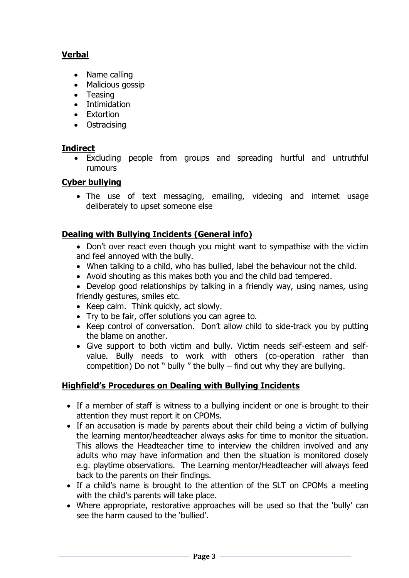## **Verbal**

- Name calling
- Malicious gossip
- Teasing
- Intimidation
- Extortion
- Ostracising

## **Indirect**

 Excluding people from groups and spreading hurtful and untruthful rumours

## **Cyber bullying**

 The use of text messaging, emailing, videoing and internet usage deliberately to upset someone else

## **Dealing with Bullying Incidents (General info)**

- Don't over react even though you might want to sympathise with the victim and feel annoyed with the bully.
- When talking to a child, who has bullied, label the behaviour not the child.
- Avoid shouting as this makes both you and the child bad tempered.
- Develop good relationships by talking in a friendly way, using names, using friendly gestures, smiles etc.
- Keep calm. Think quickly, act slowly.
- Try to be fair, offer solutions you can agree to.
- Keep control of conversation. Don't allow child to side-track you by putting the blame on another.
- Give support to both victim and bully. Victim needs self-esteem and selfvalue. Bully needs to work with others (co-operation rather than competition) Do not " bully " the bully  $-$  find out why they are bullying.

## **Highfield's Procedures on Dealing with Bullying Incidents**

- If a member of staff is witness to a bullying incident or one is brought to their attention they must report it on CPOMs.
- If an accusation is made by parents about their child being a victim of bullying the learning mentor/headteacher always asks for time to monitor the situation. This allows the Headteacher time to interview the children involved and any adults who may have information and then the situation is monitored closely e.g. playtime observations. The Learning mentor/Headteacher will always feed back to the parents on their findings.
- If a child's name is brought to the attention of the SLT on CPOMs a meeting with the child's parents will take place.
- Where appropriate, restorative approaches will be used so that the 'bully' can see the harm caused to the 'bullied'.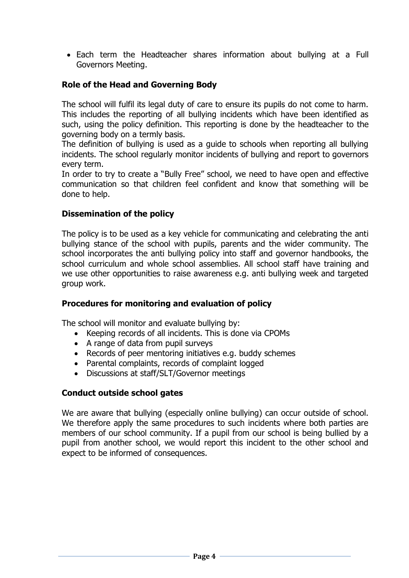Each term the Headteacher shares information about bullying at a Full Governors Meeting.

## **Role of the Head and Governing Body**

The school will fulfil its legal duty of care to ensure its pupils do not come to harm. This includes the reporting of all bullying incidents which have been identified as such, using the policy definition. This reporting is done by the headteacher to the governing body on a termly basis.

The definition of bullying is used as a guide to schools when reporting all bullying incidents. The school regularly monitor incidents of bullying and report to governors every term.

In order to try to create a "Bully Free" school, we need to have open and effective communication so that children feel confident and know that something will be done to help.

### **Dissemination of the policy**

The policy is to be used as a key vehicle for communicating and celebrating the anti bullying stance of the school with pupils, parents and the wider community. The school incorporates the anti bullying policy into staff and governor handbooks, the school curriculum and whole school assemblies. All school staff have training and we use other opportunities to raise awareness e.g. anti bullying week and targeted group work.

### **Procedures for monitoring and evaluation of policy**

The school will monitor and evaluate bullying by:

- Keeping records of all incidents. This is done via CPOMs
- A range of data from pupil surveys
- Records of peer mentoring initiatives e.g. buddy schemes
- Parental complaints, records of complaint logged
- Discussions at staff/SLT/Governor meetings

### **Conduct outside school gates**

We are aware that bullying (especially online bullying) can occur outside of school. We therefore apply the same procedures to such incidents where both parties are members of our school community. If a pupil from our school is being bullied by a pupil from another school, we would report this incident to the other school and expect to be informed of consequences.